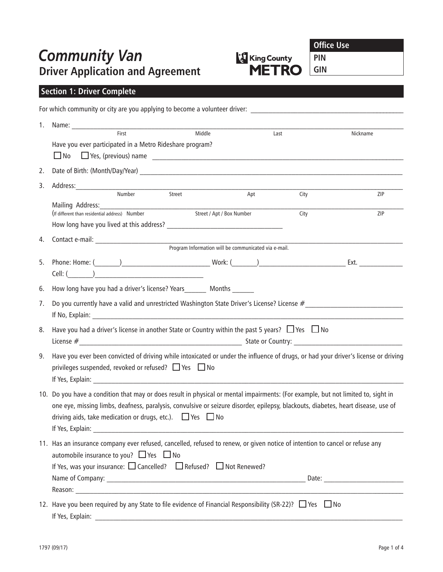# **Community Van<br>Driver Application and Agreement**



**Office Use**

**PIN**

**GIN**

# **Section 1: Driver Complete**

|    | For which community or city are you applying to become a volunteer driver:                                                                                                                                                                                                                                                                    |  |  |  |  |  |  |  |
|----|-----------------------------------------------------------------------------------------------------------------------------------------------------------------------------------------------------------------------------------------------------------------------------------------------------------------------------------------------|--|--|--|--|--|--|--|
| 1. | Middle<br>First<br>Last<br>Nickname                                                                                                                                                                                                                                                                                                           |  |  |  |  |  |  |  |
|    | Have you ever participated in a Metro Rideshare program?<br>$\Box$ No                                                                                                                                                                                                                                                                         |  |  |  |  |  |  |  |
| 2. | Date of Birth: (Month/Day/Year) and the control of the control of the control of the control of the control of the control of the control of the control of the control of the control of the control of the control of the co                                                                                                                |  |  |  |  |  |  |  |
| 3. | Address:<br>Number Street                                                                                                                                                                                                                                                                                                                     |  |  |  |  |  |  |  |
|    | Apt<br>ZIP<br>City<br>Mailing Address:<br>(If different than residential address) Number<br>Street / Apt / Box Number<br>City<br>ZIP                                                                                                                                                                                                          |  |  |  |  |  |  |  |
|    |                                                                                                                                                                                                                                                                                                                                               |  |  |  |  |  |  |  |
| 4. |                                                                                                                                                                                                                                                                                                                                               |  |  |  |  |  |  |  |
| 5. | Phone: Home: (\compare____) \compare \compare \compare \compare \compare \compare \compare \compare \compare \compare \compare \compare \compare \compare \compare \compare \compare \compare \compare \compare \compare \comp<br>Cell: ( )                                                                                                   |  |  |  |  |  |  |  |
| 6. | How long have you had a driver's license? Years Months                                                                                                                                                                                                                                                                                        |  |  |  |  |  |  |  |
| 7. |                                                                                                                                                                                                                                                                                                                                               |  |  |  |  |  |  |  |
| 8. | Have you had a driver's license in another State or Country within the past 5 years? $\Box$ Yes $\Box$ No                                                                                                                                                                                                                                     |  |  |  |  |  |  |  |
| 9. | Have you ever been convicted of driving while intoxicated or under the influence of drugs, or had your driver's license or driving<br>privileges suspended, revoked or refused? $\Box$ Yes $\Box$ No                                                                                                                                          |  |  |  |  |  |  |  |
|    | 10. Do you have a condition that may or does result in physical or mental impairments: (For example, but not limited to, sight in<br>one eye, missing limbs, deafness, paralysis, convulsive or seizure disorder, epilepsy, blackouts, diabetes, heart disease, use of<br>driving aids, take medication or drugs, etc.). $\Box$ Yes $\Box$ No |  |  |  |  |  |  |  |
|    | 11. Has an insurance company ever refused, cancelled, refused to renew, or given notice of intention to cancel or refuse any<br>automobile insurance to you? $\Box$ Yes $\Box$ No<br>If Yes, was your insurance: $\Box$ Cancelled? $\Box$ Refused? $\Box$ Not Renewed?                                                                        |  |  |  |  |  |  |  |
|    | 12. Have you been required by any State to file evidence of Financial Responsibility (SR-22)? □ Yes □ No<br>If Yes, Explain:                                                                                                                                                                                                                  |  |  |  |  |  |  |  |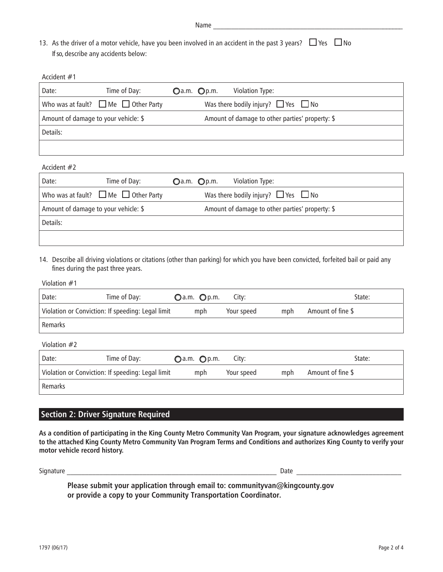| Name |  |  |  |  |
|------|--|--|--|--|
|      |  |  |  |  |

| 13. As the driver of a motor vehicle, have you been involved in an accident in the past 3 years? $\Box$ Yes $\Box$ No |  |
|-----------------------------------------------------------------------------------------------------------------------|--|
| If so, describe any accidents below:                                                                                  |  |

| Accident $#1$                        |                                                |                                                 |
|--------------------------------------|------------------------------------------------|-------------------------------------------------|
| Date:                                | Time of Day:                                   | $Q$ a.m. $Q$ p.m.<br>Violation Type:            |
|                                      | Who was at fault? $\Box$ Me $\Box$ Other Party | Was there bodily injury? $\Box$ Yes $\Box$ No   |
| Amount of damage to your vehicle: \$ |                                                | Amount of damage to other parties' property: \$ |
| Details:                             |                                                |                                                 |
|                                      |                                                |                                                 |

#### Accident #2

| Date:                                | Time of Day:                                   | $Q$ a.m. $Q$ p.m. | Violation Type:                                 |  |  |
|--------------------------------------|------------------------------------------------|-------------------|-------------------------------------------------|--|--|
|                                      | Who was at fault? $\Box$ Me $\Box$ Other Party |                   | Was there bodily injury? $\Box$ Yes $\Box$ No   |  |  |
| Amount of damage to your vehicle: \$ |                                                |                   | Amount of damage to other parties' property: \$ |  |  |
| Details:                             |                                                |                   |                                                 |  |  |
|                                      |                                                |                   |                                                 |  |  |

14. Describe all driving violations or citations (other than parking) for which you have been convicted, forfeited bail or paid any fines during the past three years.

#### Violation #1

| Date:        | Time of Day:                                      | Oa.m. Op.m.       | City:      |     | State:            |
|--------------|---------------------------------------------------|-------------------|------------|-----|-------------------|
|              | Violation or Conviction: If speeding: Legal limit | mph               | Your speed | mph | Amount of fine \$ |
| Remarks      |                                                   |                   |            |     |                   |
| Violation #2 |                                                   |                   |            |     |                   |
| Date:        | Time of Day:                                      | $Q$ a.m. $Q$ p.m. | City:      |     | State:            |
|              | Violation or Conviction: If speeding: Legal limit | mph               | Your speed | mph | Amount of fine \$ |
| Remarks      |                                                   |                   |            |     |                   |

## **Section 2: Driver Signature Required**

**As a condition of participating in the King County Metro Community Van Program, your signature acknowledges agreement to the attached King County Metro Community Van Program Terms and Conditions and authorizes King County to verify your motor vehicle record history.**

Signature \_\_\_\_\_\_\_\_\_\_\_\_\_\_\_\_\_\_\_\_\_\_\_\_\_\_\_\_\_\_\_\_\_\_\_\_\_\_\_\_\_\_\_\_\_\_\_\_\_\_\_\_\_\_\_\_\_\_ Date \_\_\_\_\_\_\_\_\_\_\_\_\_\_\_\_\_\_\_\_\_\_\_\_\_\_\_\_\_

**Please submit your application through email to: communityvan@kingcounty.gov or provide a copy to your Community Transportation Coordinator.**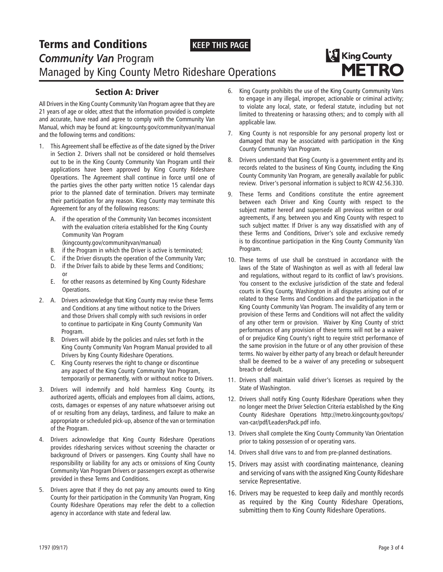#### **KEEP THIS PAGE**

## Terms and Conditions *Community Van* Program Managed by King County Metro Rideshare Operations



#### Section A: Driver

All Drivers in the King County Community Van Program agree that they are 21 years of age or older, attest that the information provided is complete and accurate, have read and agree to comply with the Community Van Manual, which may be found at: kingcounty.gov/communityvan/manual and the following terms and conditions:

- 1. This Agreement shall be effective as of the date signed by the Driver in Section 2. Drivers shall not be considered or hold themselves out to be in the King County Community Van Program until their applications have been approved by King County Rideshare Operations. The Agreement shall continue in force until one of the parties gives the other party written notice 15 calendar days prior to the planned date of termination. Drivers may terminate their participation for any reason. King County may terminate this Agreement for any of the following reasons:
	- A. if the operation of the Community Van becomes inconsistent with the evaluation criteria established for the King County Community Van Program
		- (kingcounty.gov/communityvan/manual)
	- B. if the Program in which the Driver is active is terminated;
	- C. if the Driver disrupts the operation of the Community Van; D. if the Driver fails to abide by these Terms and Conditions; or
	- E. for other reasons as determined by King County Rideshare Operations.
- 2. A. Drivers acknowledge that King County may revise these Terms and Conditions at any time without notice to the Drivers and those Drivers shall comply with such revisions in order to continue to participate in King County Community Van Program.
	- B. Drivers will abide by the policies and rules set forth in the King County Community Van Program Manual provided to all Drivers by King County Rideshare Operations.
	- C. King County reserves the right to change or discontinue any aspect of the King County Community Van Program, temporarily or permanently, with or without notice to Drivers.
- 3. Drivers will indemnify and hold harmless King County, its authorized agents, officials and employees from all claims, actions, costs, damages or expenses of any nature whatsoever arising out of or resulting from any delays, tardiness, and failure to make an appropriate or scheduled pick-up, absence of the van or termination of the Program.
- 4. Drivers acknowledge that King County Rideshare Operations provides ridesharing services without screening the character or background of Drivers or passengers. King County shall have no responsibility or liability for any acts or omissions of King County Community Van Program Drivers or passengers except as otherwise provided in these Terms and Conditions.
- 5. Drivers agree that if they do not pay any amounts owed to King County for their participation in the Community Van Program, King County Rideshare Operations may refer the debt to a collection agency in accordance with state and federal law.
- 6. King County prohibits the use of the King County Community Vans to engage in any illegal, improper, actionable or criminal activity; to violate any local, state, or federal statute, including but not limited to threatening or harassing others; and to comply with all applicable law.
- 7. King County is not responsible for any personal property lost or damaged that may be associated with participation in the King County Community Van Program.
- 8. Drivers understand that King County is a government entity and its records related to the business of King County, including the King County Community Van Program, are generally available for public review. Driver's personal information is subject to RCW 42.56.330.
- 9. These Terms and Conditions constitute the entire agreement between each Driver and King County with respect to the subject matter hereof and supersede all previous written or oral agreements, if any, between you and King County with respect to such subject matter. If Driver is any way dissatisfied with any of these Terms and Conditions, Driver's sole and exclusive remedy is to discontinue participation in the King County Community Van Program.
- 10. These terms of use shall be construed in accordance with the laws of the State of Washington as well as with all federal law and regulations, without regard to its conflict of law's provisions. You consent to the exclusive jurisdiction of the state and federal courts in King County, Washington in all disputes arising out of or related to these Terms and Conditions and the participation in the King County Community Van Program. The invalidity of any term or provision of these Terms and Conditions will not affect the validity of any other term or provision. Waiver by King County of strict performances of any provision of these terms will not be a waiver of or prejudice King County's right to require strict performance of the same provision in the future or of any other provision of these terms. No waiver by either party of any breach or default hereunder shall be deemed to be a waiver of any preceding or subsequent breach or default.
- 11. Drivers shall maintain valid driver's licenses as required by the State of Washington.
- 12. Drivers shall notify King County Rideshare Operations when they no longer meet the Driver Selection Criteria established by the King County Rideshare Operations http://metro.kingcounty.gov/tops/ van-car/pdf/LeadersPack.pdf info.
- 13. Drivers shall complete the King County Community Van Orientation prior to taking possession of or operating vans.
- 14. Drivers shall drive vans to and from pre-planned destinations.
- 15. Drivers may assist with coordinating maintenance, cleaning and servicing of vans with the assigned King County Rideshare service Representative.
- 16. Drivers may be requested to keep daily and monthly records as required by the King County Rideshare Operations, submitting them to King County Rideshare Operations.